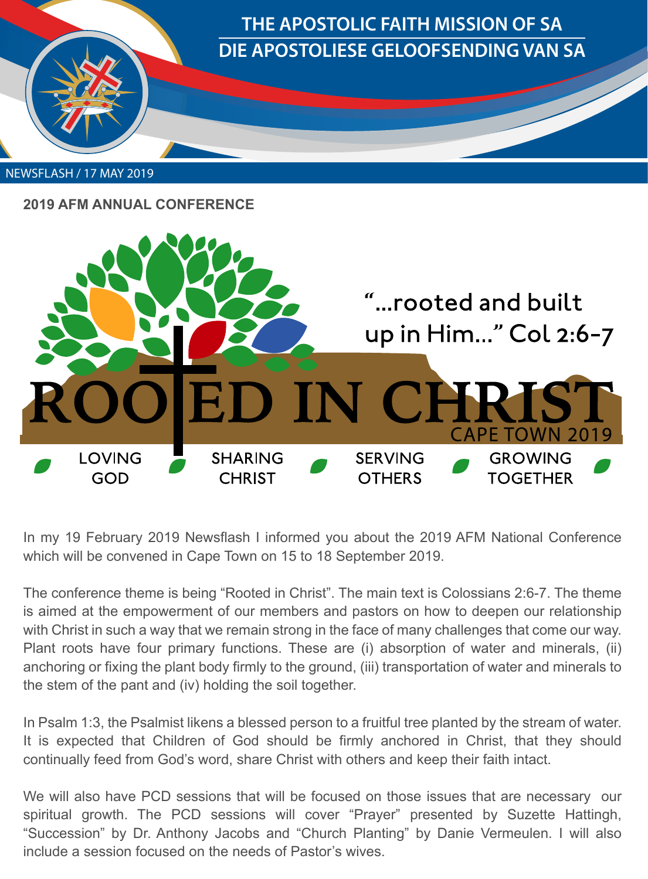

NEWSFLASH / 17 MAY 2019

**2019 AFM ANNUAL CONFERENCE**



In my 19 February 2019 Newsflash I informed you about the 2019 AFM National Conference which will be convened in Cape Town on 15 to 18 September 2019.

The conference theme is being "Rooted in Christ". The main text is Colossians 2:6-7. The theme is aimed at the empowerment of our members and pastors on how to deepen our relationship with Christ in such a way that we remain strong in the face of many challenges that come our way. Plant roots have four primary functions. These are (i) absorption of water and minerals, (ii) anchoring or fixing the plant body firmly to the ground, (iii) transportation of water and minerals to the stem of the pant and (iv) holding the soil together.

In Psalm 1:3, the Psalmist likens a blessed person to a fruitful tree planted by the stream of water. It is expected that Children of God should be firmly anchored in Christ, that they should continually feed from God's word, share Christ with others and keep their faith intact.

We will also have PCD sessions that will be focused on those issues that are necessary our spiritual growth. The PCD sessions will cover "Prayer" presented by Suzette Hattingh, "Succession" by Dr. Anthony Jacobs and "Church Planting" by Danie Vermeulen. I will also include a session focused on the needs of Pastor's wives.